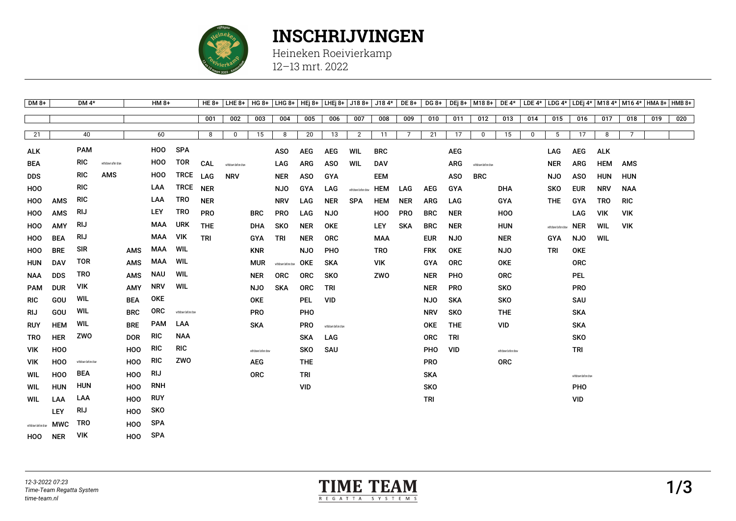

## **INSCHRIJVINGEN**

Heineken Roeivierkamp 12–13 mrt. 2022

| $DM8+$                |            | DM $4*$               |                      |                 | $HM 8+$        |                       | <b>HE 8+</b> | $LHE 8+$              | $HG 8+$               |                       |            | LHG 8+   HEj 8+   LHEj 8+   J18 8+ |                       |            | $J184*$ DE 8+  | DG 8+      |            | DEj 8+ M18 8+         |                       |             |                       |                       |            | DE 4* LDE 4* LDG 4* LDEj 4*   M18 4*   M16 4*   HMA 8+   HMB 8+ |     |     |
|-----------------------|------------|-----------------------|----------------------|-----------------|----------------|-----------------------|--------------|-----------------------|-----------------------|-----------------------|------------|------------------------------------|-----------------------|------------|----------------|------------|------------|-----------------------|-----------------------|-------------|-----------------------|-----------------------|------------|-----------------------------------------------------------------|-----|-----|
|                       |            |                       |                      |                 |                |                       | 001          | 002                   | 003                   | 004                   | 005        | 006                                | 007                   | 008        | 009            | 010        | 011        | 012                   | 013                   | 014         | 015                   | 016                   | 017        | 018                                                             | 019 | 020 |
| 21                    |            | 40                    |                      |                 | 60             |                       | 8            | 0                     | 15                    | 8                     | 20         | 13                                 | 2                     | 11         | $\overline{7}$ | 21         | 17         | $\mathbf 0$           | 15                    | $\mathbf 0$ | 5                     | 17                    | 8          | $\overline{7}$                                                  |     |     |
|                       |            |                       |                      |                 |                |                       |              |                       |                       |                       |            |                                    |                       |            |                |            |            |                       |                       |             |                       |                       |            |                                                                 |     |     |
| <b>ALK</b>            |            | <b>PAM</b>            |                      |                 | HOO            | <b>SPA</b>            |              |                       |                       | <b>ASO</b>            | <b>AEG</b> | <b>AEG</b>                         | WIL                   | <b>BRC</b> |                |            | <b>AEG</b> |                       |                       |             | LAG                   | <b>AEG</b>            | <b>ALK</b> |                                                                 |     |     |
| <b>BEA</b>            |            | <b>RIC</b>            | withdrawn after draw |                 | H <sub>0</sub> | <b>TOR</b>            | CAL          | withdrawn before draw |                       | LAG                   | <b>ARG</b> | <b>ASO</b>                         | WIL                   | <b>DAV</b> |                |            | <b>ARG</b> | withdrawn before draw |                       |             | <b>NER</b>            | <b>ARG</b>            | <b>HEM</b> | <b>AMS</b>                                                      |     |     |
| <b>DDS</b>            |            | <b>RIC</b>            | AMS                  |                 | H <sub>0</sub> | <b>TRCE</b>           | LAG          | <b>NRV</b>            |                       | <b>NER</b>            | <b>ASO</b> | GYA                                |                       | EEM        |                |            | <b>ASO</b> | <b>BRC</b>            |                       |             | <b>NJO</b>            | <b>ASO</b>            | <b>HUN</b> | <b>HUN</b>                                                      |     |     |
| H <sub>0</sub>        |            | <b>RIC</b>            |                      |                 | LAA            | TRCE                  | <b>NER</b>   |                       |                       | <b>NJO</b>            | <b>GYA</b> | LAG                                | withdrawn before draw | <b>HEM</b> | LAG            | <b>AEG</b> | <b>GYA</b> |                       | <b>DHA</b>            |             | <b>SKO</b>            | <b>EUR</b>            | <b>NRV</b> | <b>NAA</b>                                                      |     |     |
| HOO                   | AMS        | RIC                   |                      |                 | LAA            | TRO                   | <b>NER</b>   |                       |                       | <b>NRV</b>            | LAG        | <b>NER</b>                         | <b>SPA</b>            | <b>HEM</b> | <b>NER</b>     | <b>ARG</b> | LAG        |                       | GYA                   |             | <b>THE</b>            | GYA                   | <b>TRO</b> | <b>RIC</b>                                                      |     |     |
| <b>HOO</b>            | <b>AMS</b> | RIJ                   |                      |                 | LEY            | <b>TRO</b>            | <b>PRO</b>   |                       | <b>BRC</b>            | <b>PRO</b>            | LAG        | <b>NJO</b>                         |                       | HOO        | <b>PRO</b>     | <b>BRC</b> | <b>NER</b> |                       | <b>HOO</b>            |             |                       | LAG                   | <b>VIK</b> | <b>VIK</b>                                                      |     |     |
| HOO                   | AMY        | <b>RIJ</b>            |                      |                 | <b>MAA</b>     | <b>URK</b>            | <b>THE</b>   |                       | <b>DHA</b>            | <b>SKO</b>            | <b>NER</b> | <b>OKE</b>                         |                       | <b>LEY</b> | <b>SKA</b>     | <b>BRC</b> | <b>NER</b> |                       | <b>HUN</b>            |             | withdrawn before draw | <b>NER</b>            | WIL        | <b>VIK</b>                                                      |     |     |
| HOO                   | <b>BEA</b> | <b>RIJ</b>            |                      |                 | <b>MAA</b>     | <b>VIK</b>            | <b>TRI</b>   |                       | GYA                   | TRI                   | NER        | <b>ORC</b>                         |                       | MAA        |                | <b>EUR</b> | <b>NJO</b> |                       | NER                   |             | GYA                   | <b>NJO</b>            | <b>WIL</b> |                                                                 |     |     |
| <b>HOO</b>            | <b>BRE</b> | SIR                   |                      | <b>AMS</b>      | <b>MAA</b>     | WIL                   |              |                       | <b>KNR</b>            |                       | <b>NJO</b> | PHO                                |                       | <b>TRO</b> |                | <b>FRK</b> | <b>OKE</b> |                       | NJO                   |             | <b>TRI</b>            | OKE                   |            |                                                                 |     |     |
| <b>HUN</b>            | <b>DAV</b> | TOR                   |                      | AMS             | MAA            | WIL                   |              |                       | <b>MUR</b>            | withdrawn before draw | OKE        | <b>SKA</b>                         |                       | <b>VIK</b> |                | GYA        | <b>ORC</b> |                       | OKE                   |             |                       | <b>ORC</b>            |            |                                                                 |     |     |
| <b>NAA</b>            | <b>DDS</b> | TRO                   |                      | AMS             | NAU            | WIL                   |              |                       | <b>NER</b>            | <b>ORC</b>            | <b>ORC</b> | SKO                                |                       | ZWO        |                | <b>NER</b> | <b>PHO</b> |                       | <b>ORC</b>            |             |                       | <b>PEL</b>            |            |                                                                 |     |     |
| <b>PAM</b>            | <b>DUR</b> | VIK                   |                      | <b>AMY</b>      | NRV            | WIL                   |              |                       | <b>NJO</b>            | <b>SKA</b>            | <b>ORC</b> | <b>TRI</b>                         |                       |            |                | <b>NER</b> | <b>PRO</b> |                       | <b>SKO</b>            |             |                       | <b>PRO</b>            |            |                                                                 |     |     |
| <b>RIC</b>            | GOU        | WIL                   |                      | <b>BEA</b>      | OKE            |                       |              |                       | <b>OKE</b>            |                       | <b>PEL</b> | <b>VID</b>                         |                       |            |                | <b>NJO</b> | <b>SKA</b> |                       | <b>SKO</b>            |             |                       | SAU                   |            |                                                                 |     |     |
| RIJ                   | GOU        | WIL                   |                      | <b>BRC</b>      | <b>ORC</b>     | withdrawn before draw |              |                       | <b>PRO</b>            |                       | PHO        |                                    |                       |            |                | <b>NRV</b> | <b>SKO</b> |                       | <b>THE</b>            |             |                       | <b>SKA</b>            |            |                                                                 |     |     |
| <b>RUY</b>            | <b>HEM</b> | WIL                   |                      | <b>BRE</b>      | <b>PAM</b>     | LAA                   |              |                       | <b>SKA</b>            |                       | <b>PRO</b> | withdrawn before draw              |                       |            |                | <b>OKE</b> | <b>THE</b> |                       | VID                   |             |                       | <b>SKA</b>            |            |                                                                 |     |     |
| <b>TRO</b>            | <b>HER</b> | zwo                   |                      | <b>DOR</b>      | RIC            | <b>NAA</b>            |              |                       |                       |                       | <b>SKA</b> | LAG                                |                       |            |                | <b>ORC</b> | <b>TRI</b> |                       |                       |             |                       | <b>SKO</b>            |            |                                                                 |     |     |
| VIK.                  | <b>HOO</b> |                       |                      | H <sub>0</sub>  | RIC            | <b>RIC</b>            |              |                       | withdrawn before draw |                       | SKO        | SAU                                |                       |            |                | <b>PHO</b> | <b>VID</b> |                       | withdrawn before draw |             |                       | <b>TRI</b>            |            |                                                                 |     |     |
| <b>VIK</b>            | <b>HOO</b> | withdrawn before draw |                      | H <sub>0</sub>  | RIC            | ZWO                   |              |                       | <b>AEG</b>            |                       | <b>THE</b> |                                    |                       |            |                | <b>PRO</b> |            |                       | <b>ORC</b>            |             |                       |                       |            |                                                                 |     |     |
| WIL                   | <b>HOO</b> | <b>BEA</b>            |                      | H <sub>00</sub> | <b>RIJ</b>     |                       |              |                       | <b>ORC</b>            |                       | TRI        |                                    |                       |            |                | <b>SKA</b> |            |                       |                       |             |                       | withdrawn before draw |            |                                                                 |     |     |
| WIL                   | <b>HUN</b> | <b>HUN</b>            |                      | HOO             | RNH            |                       |              |                       |                       |                       | <b>VID</b> |                                    |                       |            |                | <b>SKO</b> |            |                       |                       |             |                       | PHO                   |            |                                                                 |     |     |
| WIL                   | LAA        | LAA                   |                      | H <sub>0</sub>  | RUY            |                       |              |                       |                       |                       |            |                                    |                       |            |                | <b>TRI</b> |            |                       |                       |             |                       | VID                   |            |                                                                 |     |     |
|                       | LEY        | <b>RIJ</b>            |                      | H <sub>0</sub>  | <b>SKO</b>     |                       |              |                       |                       |                       |            |                                    |                       |            |                |            |            |                       |                       |             |                       |                       |            |                                                                 |     |     |
| withdrawn before draw | <b>MWC</b> | <b>TRO</b>            |                      | H <sub>0</sub>  | <b>SPA</b>     |                       |              |                       |                       |                       |            |                                    |                       |            |                |            |            |                       |                       |             |                       |                       |            |                                                                 |     |     |
| HOO                   | <b>NER</b> | VIK                   |                      | HOO             | <b>SPA</b>     |                       |              |                       |                       |                       |            |                                    |                       |            |                |            |            |                       |                       |             |                       |                       |            |                                                                 |     |     |

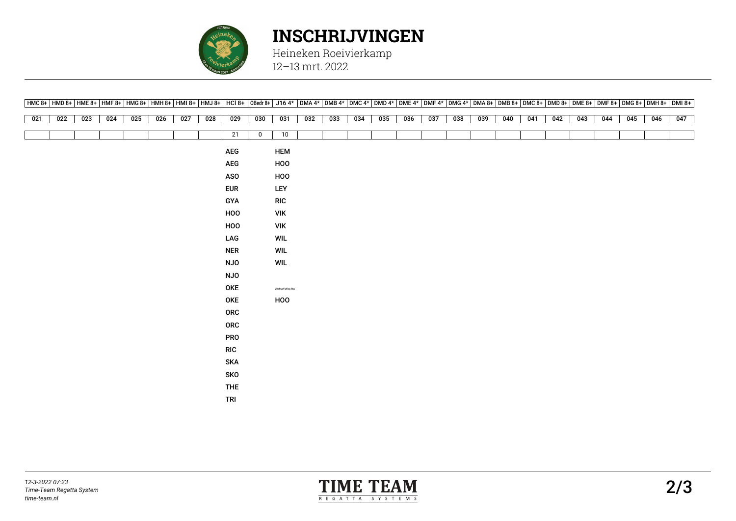

## **INSCHRIJVINGEN**

Heineken Roeivierkamp 12–13 mrt. 2022

|     |                  |     |     |     |     |     |     | [HMC 8+  HMD 8+  HME 8+  HMF 8+  HMG 8+  HMH 8+  HMI 8+  HMJ 8+  HMJ 8+  HMJ 8+  DE 8+  OBedr 8+  J16 4*  DMA 4*  DMB 4*  DMC 4*  DMD 4*  DMF 4*  DMG 4*  DMA 8+  DMB 8+  DMB 8+  DMD 8+  DME 8+  DME 8+  DMF 8+  DMF 8+  DMF |              |                       |     |     |     |     |     |     |     |     |     |     |     |     |     |     |     |     |
|-----|------------------|-----|-----|-----|-----|-----|-----|-------------------------------------------------------------------------------------------------------------------------------------------------------------------------------------------------------------------------------|--------------|-----------------------|-----|-----|-----|-----|-----|-----|-----|-----|-----|-----|-----|-----|-----|-----|-----|-----|
| 021 | $\overline{022}$ | 023 | 024 | 025 | 026 | 027 | 028 | 029                                                                                                                                                                                                                           | 030          | 031                   | 032 | 033 | 034 | 035 | 036 | 037 | 038 | 039 | 040 | 041 | 042 | 043 | 044 | 045 | 046 | 047 |
|     |                  |     |     |     |     |     |     |                                                                                                                                                                                                                               |              |                       |     |     |     |     |     |     |     |     |     |     |     |     |     |     |     |     |
|     |                  |     |     |     |     |     |     | 21                                                                                                                                                                                                                            | $\mathbf{0}$ | 10                    |     |     |     |     |     |     |     |     |     |     |     |     |     |     |     |     |
|     |                  |     |     |     |     |     |     | ${\sf AEG}$                                                                                                                                                                                                                   |              | <b>HEM</b>            |     |     |     |     |     |     |     |     |     |     |     |     |     |     |     |     |
|     |                  |     |     |     |     |     |     | AEG                                                                                                                                                                                                                           |              | HOO                   |     |     |     |     |     |     |     |     |     |     |     |     |     |     |     |     |
|     |                  |     |     |     |     |     |     | <b>ASO</b>                                                                                                                                                                                                                    |              | HOO                   |     |     |     |     |     |     |     |     |     |     |     |     |     |     |     |     |
|     |                  |     |     |     |     |     |     | <b>EUR</b>                                                                                                                                                                                                                    |              | LEY                   |     |     |     |     |     |     |     |     |     |     |     |     |     |     |     |     |
|     |                  |     |     |     |     |     |     | GYA                                                                                                                                                                                                                           |              | <b>RIC</b>            |     |     |     |     |     |     |     |     |     |     |     |     |     |     |     |     |
|     |                  |     |     |     |     |     |     | HOO                                                                                                                                                                                                                           |              | <b>VIK</b>            |     |     |     |     |     |     |     |     |     |     |     |     |     |     |     |     |
|     |                  |     |     |     |     |     |     | HOO                                                                                                                                                                                                                           |              | <b>VIK</b>            |     |     |     |     |     |     |     |     |     |     |     |     |     |     |     |     |
|     |                  |     |     |     |     |     |     | LAG                                                                                                                                                                                                                           |              | <b>WIL</b>            |     |     |     |     |     |     |     |     |     |     |     |     |     |     |     |     |
|     |                  |     |     |     |     |     |     | <b>NER</b>                                                                                                                                                                                                                    |              | WIL                   |     |     |     |     |     |     |     |     |     |     |     |     |     |     |     |     |
|     |                  |     |     |     |     |     |     | <b>NJO</b>                                                                                                                                                                                                                    |              | WIL                   |     |     |     |     |     |     |     |     |     |     |     |     |     |     |     |     |
|     |                  |     |     |     |     |     |     | <b>NJO</b>                                                                                                                                                                                                                    |              |                       |     |     |     |     |     |     |     |     |     |     |     |     |     |     |     |     |
|     |                  |     |     |     |     |     |     | OKE                                                                                                                                                                                                                           |              | withdrawn before draw |     |     |     |     |     |     |     |     |     |     |     |     |     |     |     |     |
|     |                  |     |     |     |     |     |     | OKE                                                                                                                                                                                                                           |              | HOO                   |     |     |     |     |     |     |     |     |     |     |     |     |     |     |     |     |
|     |                  |     |     |     |     |     |     | ORC                                                                                                                                                                                                                           |              |                       |     |     |     |     |     |     |     |     |     |     |     |     |     |     |     |     |
|     |                  |     |     |     |     |     |     | ORC                                                                                                                                                                                                                           |              |                       |     |     |     |     |     |     |     |     |     |     |     |     |     |     |     |     |
|     |                  |     |     |     |     |     |     | <b>PRO</b>                                                                                                                                                                                                                    |              |                       |     |     |     |     |     |     |     |     |     |     |     |     |     |     |     |     |
|     |                  |     |     |     |     |     |     | <b>RIC</b>                                                                                                                                                                                                                    |              |                       |     |     |     |     |     |     |     |     |     |     |     |     |     |     |     |     |
|     |                  |     |     |     |     |     |     | <b>SKA</b>                                                                                                                                                                                                                    |              |                       |     |     |     |     |     |     |     |     |     |     |     |     |     |     |     |     |
|     |                  |     |     |     |     |     |     | SKO                                                                                                                                                                                                                           |              |                       |     |     |     |     |     |     |     |     |     |     |     |     |     |     |     |     |
|     |                  |     |     |     |     |     |     | THE                                                                                                                                                                                                                           |              |                       |     |     |     |     |     |     |     |     |     |     |     |     |     |     |     |     |
|     |                  |     |     |     |     |     |     | <b>TRI</b>                                                                                                                                                                                                                    |              |                       |     |     |     |     |     |     |     |     |     |     |     |     |     |     |     |     |
|     |                  |     |     |     |     |     |     |                                                                                                                                                                                                                               |              |                       |     |     |     |     |     |     |     |     |     |     |     |     |     |     |     |     |